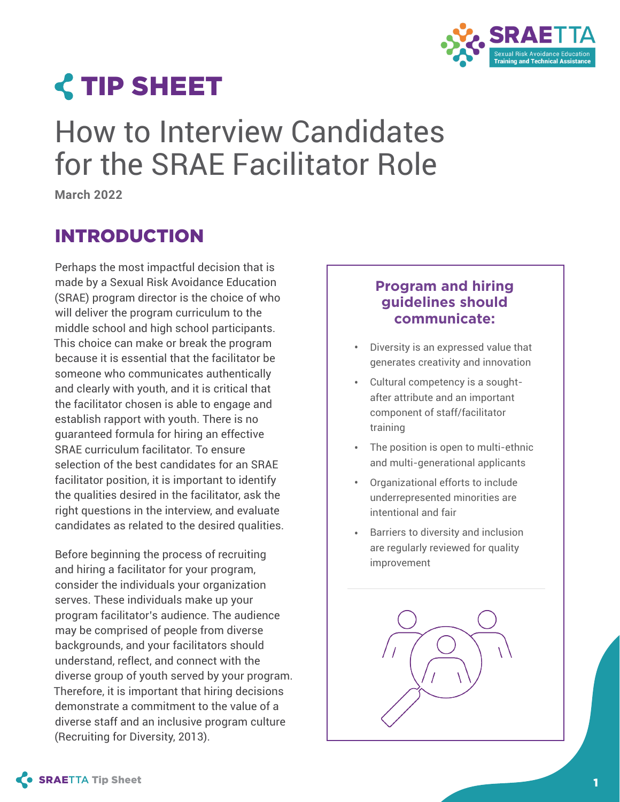

# **<TIP SHEET**

# How to Interview Candidates for the SRAE Facilitator Role

**March 2022** 

# INTRODUCTION

Perhaps the most impactful decision that is made by a Sexual Risk Avoidance Education (SRAE) program director is the choice of who will deliver the program curriculum to the middle school and high school participants. This choice can make or break the program because it is essential that the facilitator be someone who communicates authentically and clearly with youth, and it is critical that the facilitator chosen is able to engage and establish rapport with youth. There is no guaranteed formula for hiring an effective SRAE curriculum facilitator. To ensure selection of the best candidates for an SRAE facilitator position, it is important to identify the qualities desired in the facilitator, ask the right questions in the interview, and evaluate candidates as related to the desired qualities.

Before beginning the process of recruiting and hiring a facilitator for your program, consider the individuals your organization serves. These individuals make up your program facilitator's audience. The audience may be comprised of people from diverse backgrounds, and your facilitators should understand, reflect, and connect with the diverse group of youth served by your program. Therefore, it is important that hiring decisions demonstrate a commitment to the value of a diverse staff and an inclusive program culture (Recruiting for Diversity, 2013).

## **Program and hiring guidelines should communicate:**

- Diversity is an expressed value that generates creativity and innovation **•**
- Cultural competency is a soughtafter attribute and an important component of staff/facilitator training **•**
- The position is open to multi-ethnic **•** and multi-generational applicants
- Organizational efforts to include underrepresented minorities are intentional and fair **•**
- Barriers to diversity and inclusion are regularly reviewed for quality improvement **•**

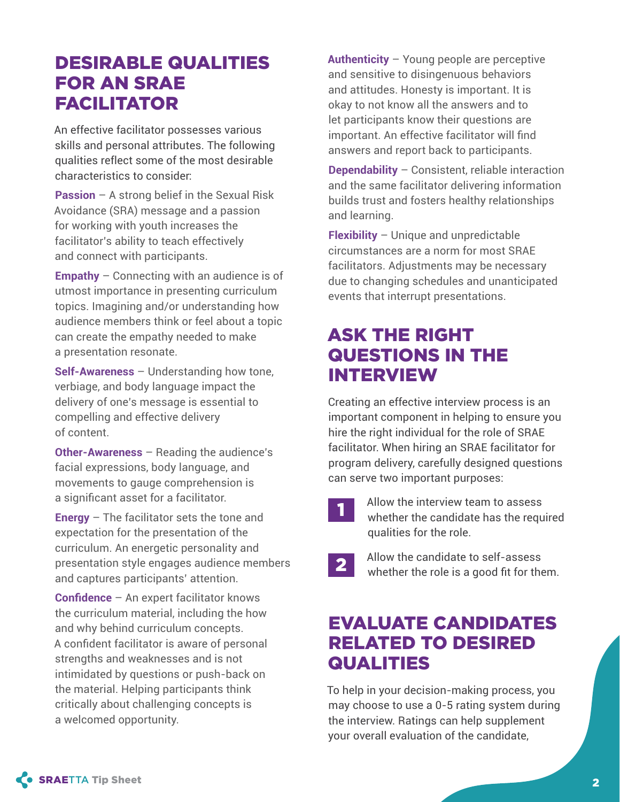# DESIRABLE QUALITIES FOR AN SRAE FACILITATOR

An effective facilitator possesses various skills and personal attributes. The following qualities reflect some of the most desirable characteristics to consider:

**Passion** – A strong belief in the Sexual Risk Avoidance (SRA) message and a passion for working with youth increases the facilitator's ability to teach effectively and connect with participants.

**Empathy** – Connecting with an audience is of utmost importance in presenting curriculum topics. Imagining and/or understanding how audience members think or feel about a topic can create the empathy needed to make a presentation resonate.

**Self-Awareness** – Understanding how tone, verbiage, and body language impact the delivery of one's message is essential to compelling and effective delivery of content.

**Other-Awareness** – Reading the audience's facial expressions, body language, and movements to gauge comprehension is a significant asset for a facilitator.

**Energy** – The facilitator sets the tone and expectation for the presentation of the curriculum. An energetic personality and presentation style engages audience members and captures participants' attention.

**Confidence** – An expert facilitator knows the curriculum material, including the how and why behind curriculum concepts. A confident facilitator is aware of personal strengths and weaknesses and is not intimidated by questions or push-back on the material. Helping participants think critically about challenging concepts is a welcomed opportunity.

**Authenticity** – Young people are perceptive and sensitive to disingenuous behaviors and attitudes. Honesty is important. It is okay to not know all the answers and to let participants know their questions are important. An effective facilitator will find answers and report back to participants.

**Dependability** – Consistent, reliable interaction and the same facilitator delivering information builds trust and fosters healthy relationships and learning.

**Flexibility** – Unique and unpredictable circumstances are a norm for most SRAE facilitators. Adjustments may be necessary due to changing schedules and unanticipated events that interrupt presentations.

# ASK THE RIGHT QUESTIONS IN THE INTERVIEW

Creating an effective interview process is an important component in helping to ensure you hire the right individual for the role of SRAE facilitator. When hiring an SRAE facilitator for program delivery, carefully designed questions can serve two important purposes:

- 1 Allow the interview team to assess whether the candidate has the required qualities for the role.
	-
- 2 Allow the candidate to self-assess whether the role is a good fit for them.

# EVALUATE CANDIDATES RELATED TO DESIRED QUALITIES

To help in your decision-making process, you may choose to use a 0-5 rating system during the interview. Ratings can help supplement your overall evaluation of the candidate,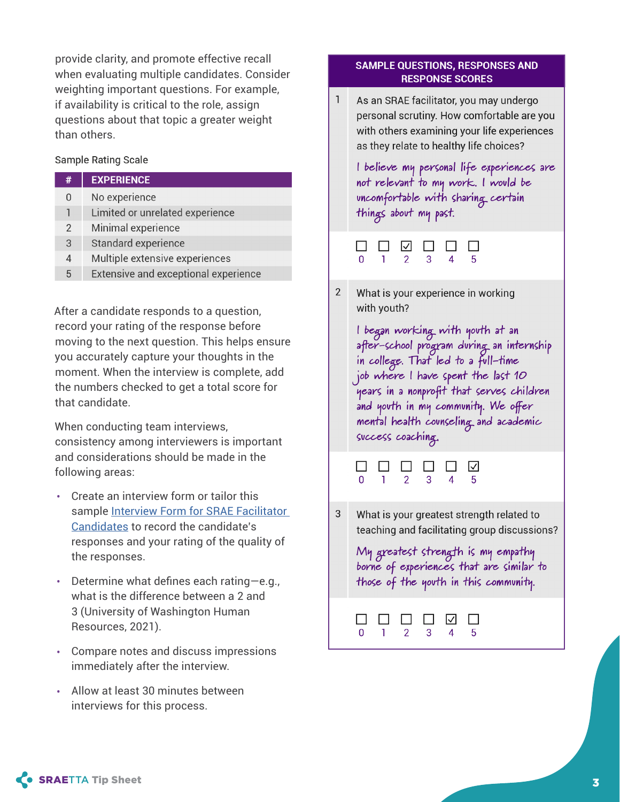provide clarity, and promote effective recall when evaluating multiple candidates. Consider weighting important questions. For example, if availability is critical to the role, assign questions about that topic a greater weight than others.

#### Sample Rating Scale

| <b>Sample Rating Scale</b> |                                      |  |  |  |
|----------------------------|--------------------------------------|--|--|--|
| #                          | <b>EXPERIENCE</b>                    |  |  |  |
| 0                          | No experience                        |  |  |  |
| 1                          | Limited or unrelated experience      |  |  |  |
| $\overline{2}$             | Minimal experience                   |  |  |  |
| 3                          | Standard experience                  |  |  |  |
| 4                          | Multiple extensive experiences       |  |  |  |
| 5                          | Extensive and exceptional experience |  |  |  |

After a candidate responds to a question, record your rating of the response before moving to the next question. This helps ensure you accurately capture your thoughts in the moment. When the interview is complete, add the numbers checked to get a total score for that candidate.

When conducting team interviews, consistency among interviewers is important and considerations should be made in the following areas:

- Create an interview form or tailor this sample Interview Form for SRAE Facilitator Candidates to record the candidate's responses and your rating of the quality of the responses.
- Determine what defines each rating—e.g., what is the difference between a 2 a nd 3 (University of Washington Human Resources, 2021).
- Compare notes and discuss impressions immediately after the interview.
- Allow at least 30 minutes between interviews for this process.

#### **SAMPLE QUESTIONS, RESPONSES AND RESPONSE SCORES**

1 As an SRAE facilitator, you may undergo personal scrutiny. How comfortable are you with others examining your life experiences as they relate to healthy life choices?

I believe my personal life experiences are not relevant to my work. I would be uncomfortable with sharing certain things about my past.

|  | 000000      |  |  |
|--|-------------|--|--|
|  | 0 1 2 3 4 5 |  |  |

2 What is your experience in working with youth?

l began working with youth at an after-school program during an internship in college. That led to a full-time job where I have spent the last 10 years in a nonprofit that serves children and youth in my community. We offer mental health counseling and academic success coaching.

| 000000      |  |  |
|-------------|--|--|
| 0 1 2 3 4 5 |  |  |

3 What is your greatest strength related to teaching and facilitating group discussions?

My greatest strength is my empathy borne of experiences that are similar to those of the youth in this community.

| 000000                                      |  |  |  |
|---------------------------------------------|--|--|--|
| $0 \quad 1 \quad 2 \quad 3 \quad 4 \quad 5$ |  |  |  |